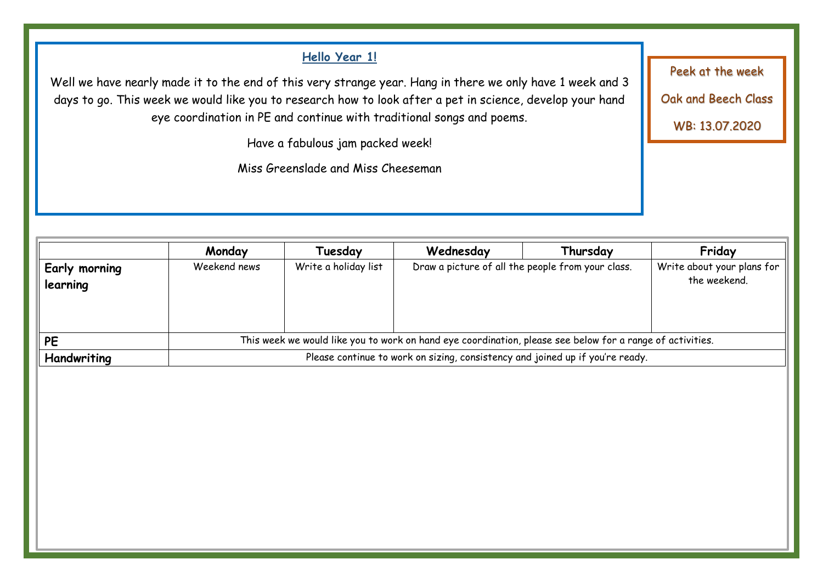# **Hello Year 1!** Well we have nearly made it to the end of this very strange year. Hang in there we only have 1 week and 3 days to go. This week we would like you to research how to look after a pet in science, develop your hand eye coordination in PE and continue with traditional songs and poems. Have a fabulous jam packed week! Miss Greenslade and Miss Cheeseman Peek at the week Oak and Beech Class WB: 13.07.2020

|                      | Monday                                                                                                    | Tuesday              | Wednesday                                         | Thursday | Friday                     |
|----------------------|-----------------------------------------------------------------------------------------------------------|----------------------|---------------------------------------------------|----------|----------------------------|
| <b>Early morning</b> | Weekend news                                                                                              | Write a holiday list | Draw a picture of all the people from your class. |          | Write about your plans for |
| learning             |                                                                                                           |                      |                                                   |          | the weekend.               |
|                      |                                                                                                           |                      |                                                   |          |                            |
|                      |                                                                                                           |                      |                                                   |          |                            |
|                      |                                                                                                           |                      |                                                   |          |                            |
| <b>PE</b>            | This week we would like you to work on hand eye coordination, please see below for a range of activities. |                      |                                                   |          |                            |
| Handwriting          | Please continue to work on sizing, consistency and joined up if you're ready.                             |                      |                                                   |          |                            |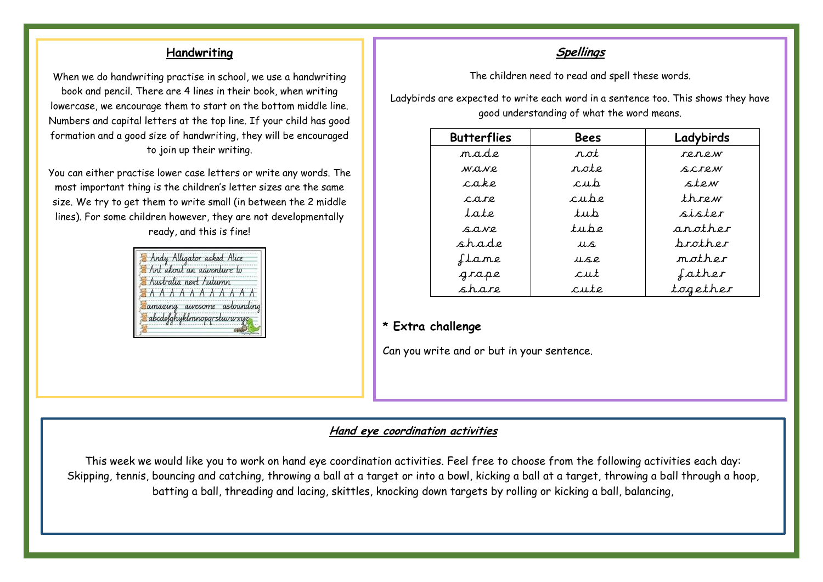#### **Handwriting**

When we do handwriting practise in school, we use a handwriting book and pencil. There are 4 lines in their book, when writing lowercase, we encourage them to start on the bottom middle line. Numbers and capital letters at the top line. If your child has good formation and a good size of handwriting, they will be encouraged to join up their writing.

You can either practise lower case letters or write any words. The most important thing is the children's letter sizes are the same size. We try to get them to write small (in between the 2 middle lines). For some children however, they are not developmentally ready, and this is fine!



#### **Spellings**

The children need to read and spell these words.

Ladybirds are expected to write each word in a sentence too. This shows they have good understanding of what the word means.

| <b>Butterflies</b> | Bees           | Ladybirds      |
|--------------------|----------------|----------------|
| m.a.d.e.           | r.ot           | re.n.e.w       |
| W.O.N.P.           | $n.$ ote       | S.C.T.P.M      |
| cake               | cub            | ste w          |
| $c$ are            | $c$ ube        | $th$ row       |
| $l$ ate            | tu.b           | sister         |
| S.A.NP.            | tube           | another        |
| shade              | LLS.           | <i>brother</i> |
| ftame              | LLS.P.         | mother         |
| grape              | $c$ <i>ut</i>  | father         |
| share              | $c$ <i>ute</i> | together       |

#### **\* Extra challenge**

Can you write and or but in your sentence.

#### **Hand eye coordination activities**

This week we would like you to work on hand eye coordination activities. Feel free to choose from the following activities each day: Skipping, tennis, bouncing and catching, throwing a ball at a target or into a bowl, kicking a ball at a target, throwing a ball through a hoop, batting a ball, threading and lacing, skittles, knocking down targets by rolling or kicking a ball, balancing,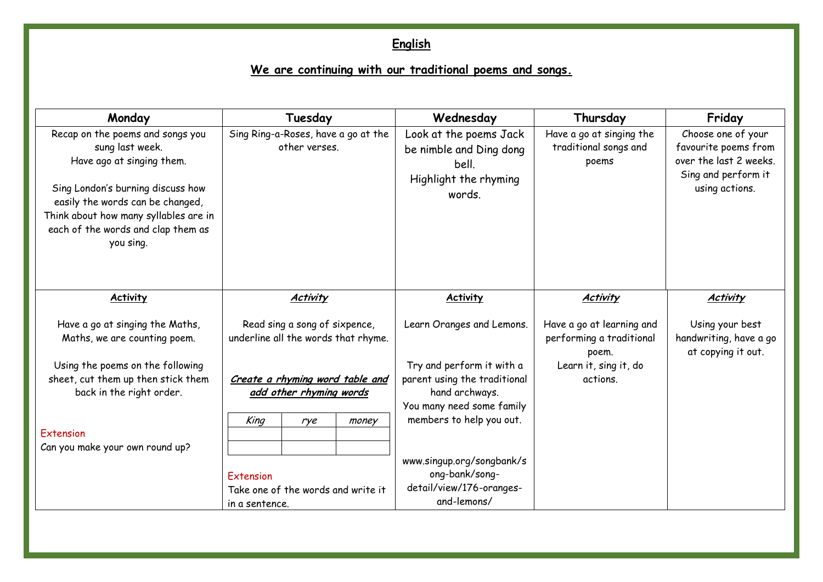# **English**

# **We are continuing with our traditional poems and songs.**

| Monday                                                                                                                                                                                                                                                | Tuesday                                                                            | Wednesday                                                                                                                            | Thursday                                                       | Friday                                                                                                        |
|-------------------------------------------------------------------------------------------------------------------------------------------------------------------------------------------------------------------------------------------------------|------------------------------------------------------------------------------------|--------------------------------------------------------------------------------------------------------------------------------------|----------------------------------------------------------------|---------------------------------------------------------------------------------------------------------------|
| Recap on the poems and songs you<br>sung last week.<br>Have ago at singing them.<br>Sing London's burning discuss how<br>easily the words can be changed,<br>Think about how many syllables are in<br>each of the words and clap them as<br>you sing. | Sing Ring-a-Roses, have a go at the<br>other verses.                               | Look at the poems Jack<br>be nimble and Ding dong<br>bell.<br>Highlight the rhyming<br>words.                                        | Have a go at singing the<br>traditional songs and<br>poems     | Choose one of your<br>favourite poems from<br>over the last 2 weeks.<br>Sing and perform it<br>using actions. |
| <b>Activity</b>                                                                                                                                                                                                                                       | <b>Activity</b>                                                                    | <b>Activity</b>                                                                                                                      | <b>Activity</b>                                                | <b>Activity</b>                                                                                               |
| Have a go at singing the Maths,<br>Maths, we are counting poem.                                                                                                                                                                                       | Read sing a song of sixpence,<br>underline all the words that rhyme.               | Learn Oranges and Lemons.                                                                                                            | Have a go at learning and<br>performing a traditional<br>poem. | Using your best<br>handwriting, have a go<br>at copying it out.                                               |
| Using the poems on the following<br>sheet, cut them up then stick them<br>back in the right order.                                                                                                                                                    | Create a rhyming word table and<br>add other rhyming words<br>King<br>money<br>rye | Try and perform it with a<br>parent using the traditional<br>hand archways.<br>You many need some family<br>members to help you out. | Learn it, sing it, do<br>actions.                              |                                                                                                               |
| Extension<br>Can you make your own round up?                                                                                                                                                                                                          | Extension<br>Take one of the words and write it<br>in a sentence.                  | www.singup.org/songbank/s<br>ong-bank/song-<br>detail/view/176-oranges-<br>and-lemons/                                               |                                                                |                                                                                                               |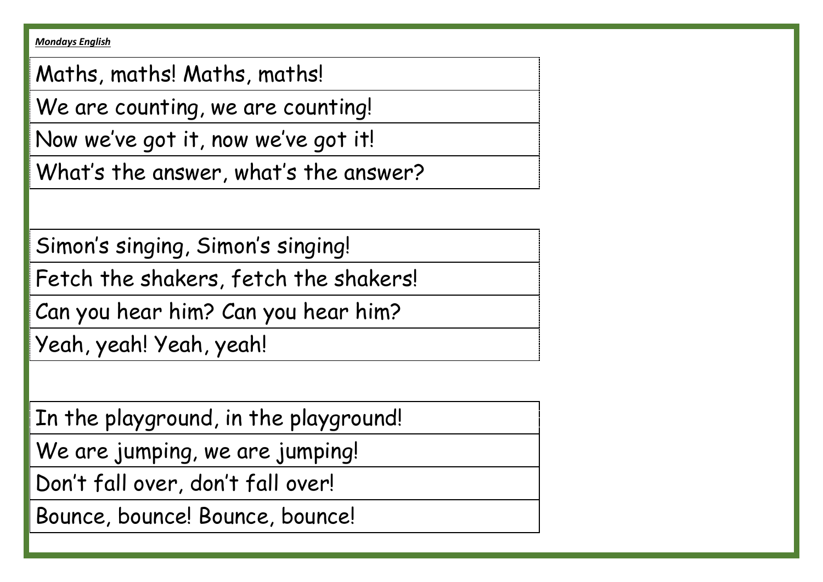*Mondays English*

Maths, maths! Maths, maths!

We are counting, we are counting!

Now we've got it, now we've got it!

What's the answer, what's the answer?

Simon's singing, Simon's singing!

Fetch the shakers, fetch the shakers!

Can you hear him? Can you hear him?

Yeah, yeah! Yeah, yeah!

In the playground, in the playground!

We are jumping, we are jumping!

Don't fall over, don't fall over!

Bounce, bounce! Bounce, bounce!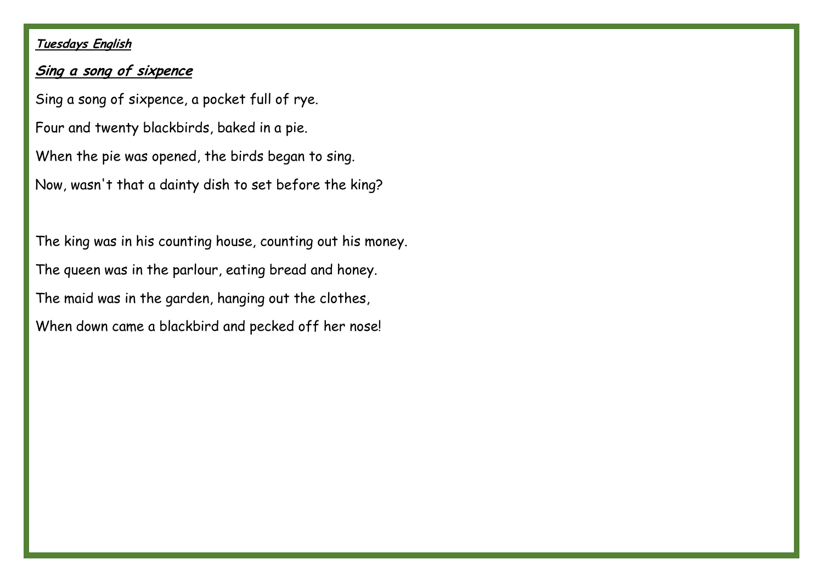# **Tuesdays English**

## **Sing a song of sixpence**

Sing a song of sixpence, a pocket full of rye. Four and twenty blackbirds, baked in a pie. When the pie was opened, the birds began to sing. Now, wasn't that a dainty dish to set before the king?

The king was in his counting house, counting out his money. The queen was in the parlour, eating bread and honey. The maid was in the garden, hanging out the clothes, When down came a blackbird and pecked off her nose!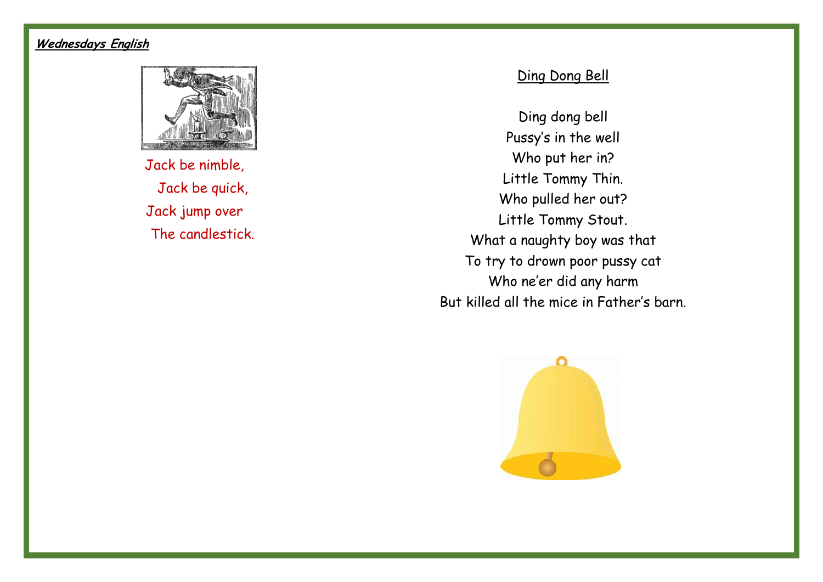# **Wednesdays English**



Jack be nimble, Jack be quick, Jack jump over The candlestick.

# Ding Dong Bell

Ding dong bell Pussy's in the well Who put her in? Little Tommy Thin. Who pulled her out? Little Tommy Stout. What a naughty boy was that To try to drown poor pussy cat Who ne'er did any harm But killed all the mice in Father's barn.

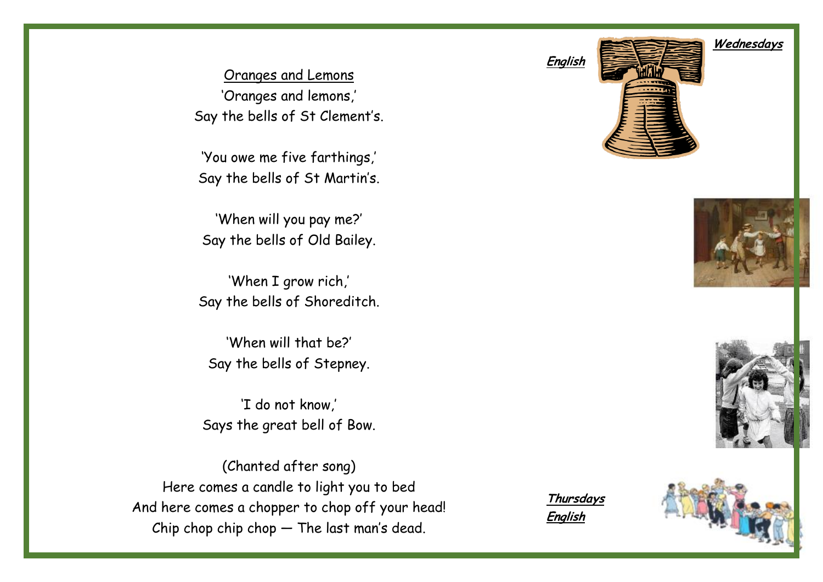Oranges and Lemons 'Oranges and lemons,' Say the bells of St Clement's.

'You owe me five farthings,' Say the bells of St Martin's.

'When will you pay me?' Say the bells of Old Bailey.

'When I grow rich,' Say the bells of Shoreditch.

'When will that be?' Say the bells of Stepney.

'I do not know,' Says the great bell of Bow.

(Chanted after song) Here comes a candle to light you to bed And here comes a chopper to chop off your head! Chip chop chip chop — The last man's dead.

**Thursdays English** 





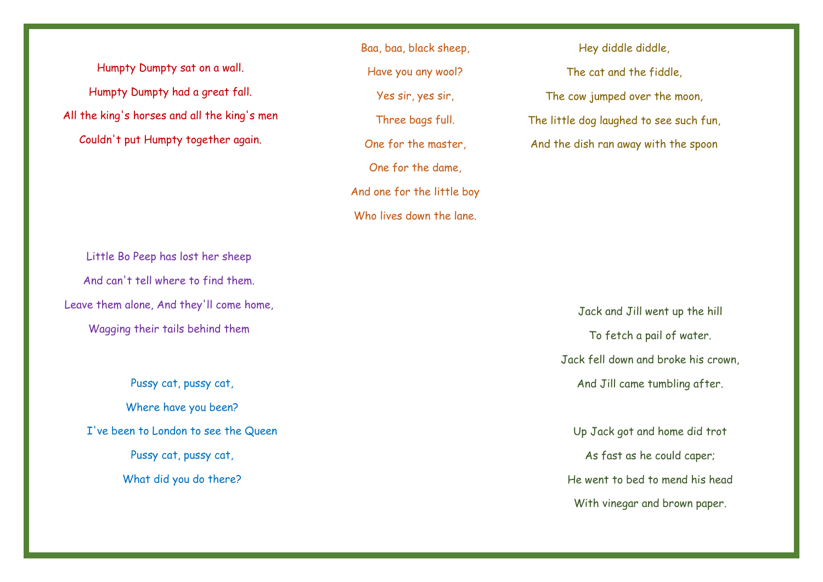Humpty Dumpty sat on a wall. Humpty Dumpty had a great fall. All the king's horses and all the king's men Couldn't put Humpty together again.

Little Bo Peep has lost her sheep And can't tell where to find them. Leave them alone, And they'll come home, Wagging their tails behind them

> Pussy cat, pussy cat, Where have you been? I've been to London to see the Queen Pussy cat, pussy cat, What did you do there?

Baa, baa, black sheep, Have you any wool? Yes sir, yes sir, Three bags full. One for the master, One for the dame, And one for the little boy Who lives down the lane.

Hey diddle diddle, The cat and the fiddle, The cow jumped over the moon, The little dog laughed to see such fun, And the dish ran away with the spoon

> Jack and Jill went up the hill To fetch a pail of water. Jack fell down and broke his crown, And Jill came tumbling after.

Up Jack got and home did trot As fast as he could caper; He went to bed to mend his head With vinegar and brown paper.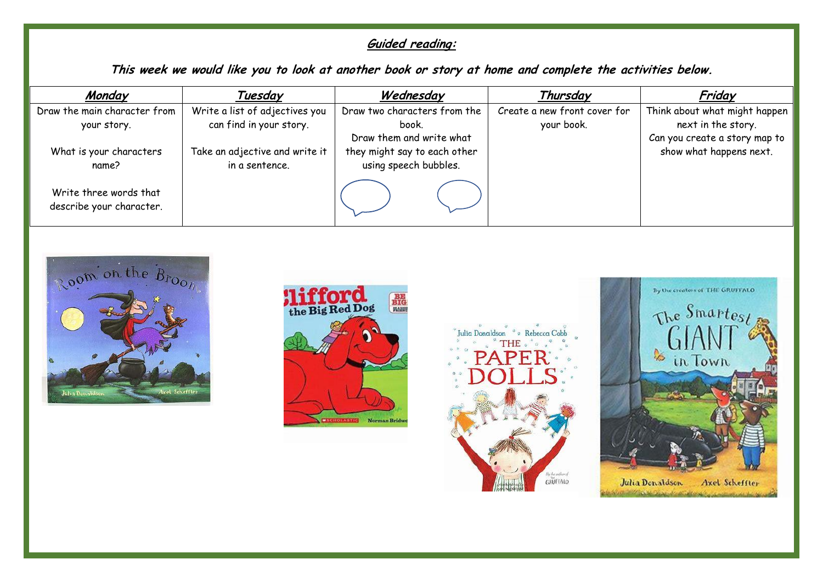# **Guided reading:**

**This week we would like you to look at another book or story at home and complete the activities below.** 

| Monday                                             | Tuesday                        | Wednesday                    | Thursday                     | Friday                        |
|----------------------------------------------------|--------------------------------|------------------------------|------------------------------|-------------------------------|
| Draw the main character from                       | Write a list of adjectives you | Draw two characters from the | Create a new front cover for | Think about what might happen |
| your story.                                        | can find in your story.        | book.                        | your book.                   | next in the story.            |
|                                                    |                                | Draw them and write what     |                              | Can you create a story map to |
| What is your characters                            | Take an adjective and write it | they might say to each other |                              | show what happens next.       |
| name?                                              | in a sentence.                 | using speech bubbles.        |                              |                               |
| Write three words that<br>describe your character. |                                |                              |                              |                               |









Julia Denaldson Axel Scheffter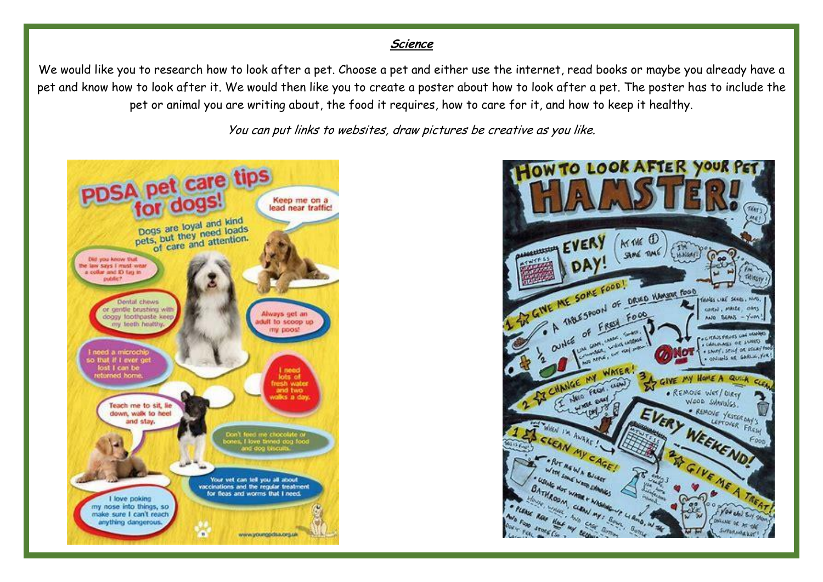#### **Science**

We would like you to research how to look after a pet. Choose a pet and either use the internet, read books or maybe you already have a pet and know how to look after it. We would then like you to create a poster about how to look after a pet. The poster has to include the pet or animal you are writing about, the food it requires, how to care for it, and how to keep it healthy.

You can put links to websites, draw pictures be creative as you like.



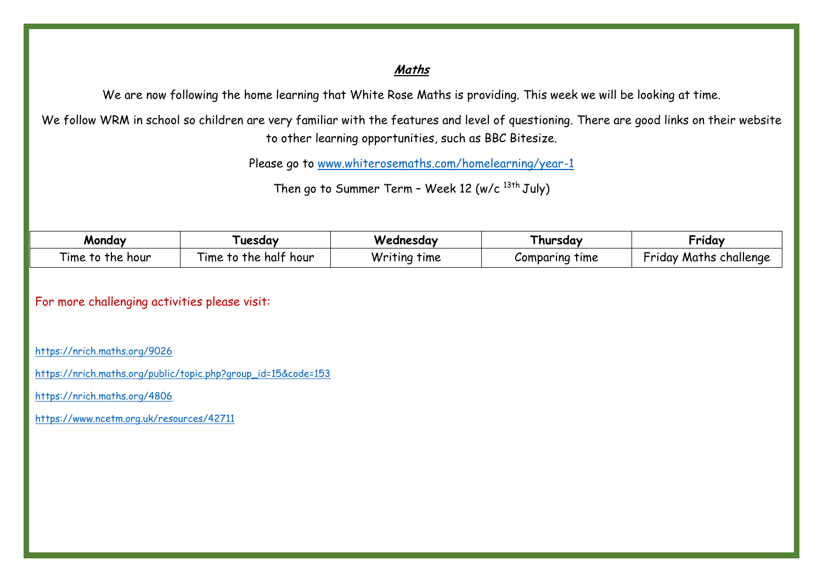#### **Maths**

We are now following the home learning that White Rose Maths is providing. This week we will be looking at time.

We follow WRM in school so children are very familiar with the features and level of questioning. There are good links on their website to other learning opportunities, such as BBC Bitesize.

Please go to [www.whiterosemaths.com/homelearning/year-1](http://www.whiterosemaths.com/homelearning/year-1)

Then go to Summer Term - Week 12 (w/c  $^{13th}$  July)

| Monday                                                          | Tuesday                                     | Wednesday       | I hursday         | •rıday                         |
|-----------------------------------------------------------------|---------------------------------------------|-----------------|-------------------|--------------------------------|
| $\overline{\phantom{a}}$<br>l ıme<br>. hour<br><b>The</b><br>то | --<br>halt hour<br><b>The</b><br>ıme<br>1 U | Writing<br>time | time<br>Comparina | rridav<br>challenge<br>Maths . |

For more challenging activities please visit:

<https://nrich.maths.org/9026>

[https://nrich.maths.org/public/topic.php?group\\_id=15&code=153](https://nrich.maths.org/public/topic.php?group_id=15&code=153)

<https://nrich.maths.org/4806>

<https://www.ncetm.org.uk/resources/42711>